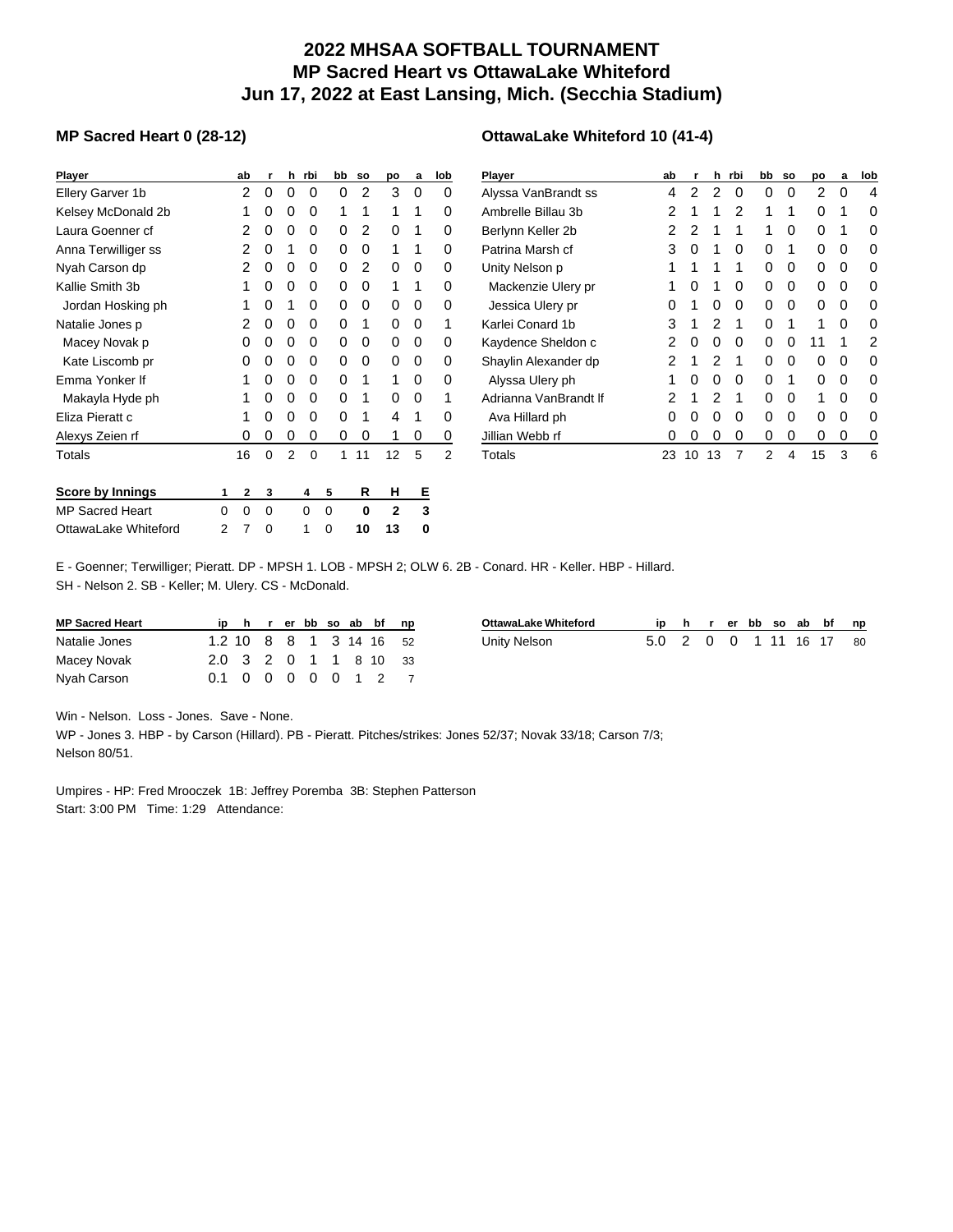## **2022 MHSAA SOFTBALL TOURNAMENT MP Sacred Heart vs OttawaLake Whiteford Jun 17, 2022 at East Lansing, Mich. (Secchia Stadium)**

## **MP Sacred Heart 0 (28-12)**

| Player                  |                | ab | r | h              | rbi      | bb | <b>SO</b> | po           | a | lob            |
|-------------------------|----------------|----|---|----------------|----------|----|-----------|--------------|---|----------------|
| Ellery Garver 1b        |                | 2  | 0 | 0              | 0        | 0  | 2         | 3            | 0 | 0              |
| Kelsey McDonald 2b      |                | 1  | 0 | 0              | 0        | 1  | 1         | 1            | 1 | 0              |
| Laura Goenner cf        |                | 2  | 0 | 0              | 0        | 0  | 2         | 0            | 1 | 0              |
| Anna Terwilliger ss     |                | 2  | 0 | 1              | 0        | 0  | 0         | 1            | 1 | 0              |
| Nyah Carson dp          |                | 2  | 0 | 0              | 0        | 0  | 2         | 0            | 0 | 0              |
| Kallie Smith 3b         |                | 1  | 0 | 0              | 0        | 0  | 0         | 1            | 1 | 0              |
| Jordan Hosking ph       |                | 1  | 0 | 1              | 0        | 0  | 0         | 0            | 0 | 0              |
| Natalie Jones p         |                | 2  | 0 | 0              | 0        | 0  | 1         | 0            | 0 | 1              |
| Macey Novak p           |                | 0  | 0 | 0              | 0        | 0  | 0         | 0            | 0 | 0              |
| Kate Liscomb pr         |                | 0  | 0 | 0              | 0        | 0  | 0         | 0            | 0 | 0              |
| Emma Yonker If          |                | 1  | 0 | 0              | 0        | 0  | 1         | 1            | 0 | 0              |
| Makayla Hyde ph         |                | 1  | 0 | 0              | 0        | 0  | 1         | 0            | 0 | 1              |
| Eliza Pieratt c         |                | 1  | 0 | 0              | 0        | 0  | 1         | 4            | 1 | O              |
| Alexys Zeien rf         |                | 0  | 0 | 0              | 0        | 0  | 0         | 1            | 0 | 0              |
| Totals                  |                | 16 | 0 | $\overline{2}$ | $\Omega$ | 1  | 11        | 12           | 5 | $\overline{2}$ |
| <b>Score by Innings</b> | 1              | 2  | 3 |                | 4        | 5  | R         | н            | Е |                |
| <b>MP Sacred Heart</b>  | 0              | 0  | 0 |                | 0        | 0  | 0         | $\mathbf{2}$ | 3 |                |
| OttawaLake Whiteford    | $\overline{2}$ | 7  | 0 |                | 1        | 0  | 10        | 13           | 0 |                |

## **OttawaLake Whiteford 10 (41-4)**

| <b>Player</b>         | ab | r  | h  | rbi | bb | <b>SO</b> | po | a | lob |
|-----------------------|----|----|----|-----|----|-----------|----|---|-----|
| Alyssa VanBrandt ss   | 4  | 2  | 2  | 0   | 0  | 0         | 2  | 0 | 4   |
| Ambrelle Billau 3b    | 2  | 1  | 1  | 2   | 1  | 1         | 0  | 1 | 0   |
| Berlynn Keller 2b     | 2  | 2  | 1  | 1   | 1  | 0         | 0  | 1 | 0   |
| Patrina Marsh cf      | 3  | 0  | 1  | 0   | 0  | 1         | 0  | 0 | 0   |
| Unity Nelson p        | 1  | 1  | 1  | 1   | 0  | 0         | 0  | 0 | 0   |
| Mackenzie Ulery pr    | 1  | 0  | 1  | 0   | 0  | 0         | 0  | 0 | 0   |
| Jessica Ulery pr      | Ω  | 1  | 0  | 0   | 0  | 0         | 0  | 0 | 0   |
| Karlei Conard 1b      | 3  | 1  | 2  | 1   | 0  | 1         | 1  | 0 | 0   |
| Kaydence Sheldon c    | 2  | 0  | 0  | 0   | 0  | 0         | 11 | 1 | 2   |
| Shaylin Alexander dp  | 2  | 1  | 2  | 1   | 0  | 0         | 0  | 0 | 0   |
| Alyssa Ulery ph       | 1  | 0  | 0  | 0   | 0  | 1         | 0  | 0 | 0   |
| Adrianna VanBrandt If | 2  | 1  | 2  | 1   | 0  | 0         | 1  | 0 | 0   |
| Ava Hillard ph        | 0  | 0  | 0  | 0   | 0  | 0         | 0  | 0 | 0   |
| Jillian Webb rf       | 0  | 0  | 0  | 0   | 0  | 0         | 0  | 0 | 0   |
| Totals                | 23 | 10 | 13 | 7   | 2  | 4         | 15 | 3 | 6   |

E - Goenner; Terwilliger; Pieratt. DP - MPSH 1. LOB - MPSH 2; OLW 6. 2B - Conard. HR - Keller. HBP - Hillard.

SH - Nelson 2. SB - Keller; M. Ulery. CS - McDonald.

| <b>MP Sacred Heart</b> |  |  |  |  | ip h r er bb so ab bf np |
|------------------------|--|--|--|--|--------------------------|
| Natalie Jones          |  |  |  |  | 1.2 10 8 8 1 3 14 16 52  |
| Macey Novak            |  |  |  |  | 2.0 3 2 0 1 1 8 10 33    |
| Nyah Carson            |  |  |  |  | 0.1 0 0 0 0 0 1 2 7      |

| OttawaLake Whiteford |                         |  |  |  | ip h r er bb so ab bf np |  |
|----------------------|-------------------------|--|--|--|--------------------------|--|
| Unity Nelson         | 5.0 2 0 0 1 11 16 17 80 |  |  |  |                          |  |

Win - Nelson. Loss - Jones. Save - None.

WP - Jones 3. HBP - by Carson (Hillard). PB - Pieratt. Pitches/strikes: Jones 52/37; Novak 33/18; Carson 7/3; Nelson 80/51.

Umpires - HP: Fred Mrooczek 1B: Jeffrey Poremba 3B: Stephen Patterson Start: 3:00 PM Time: 1:29 Attendance: